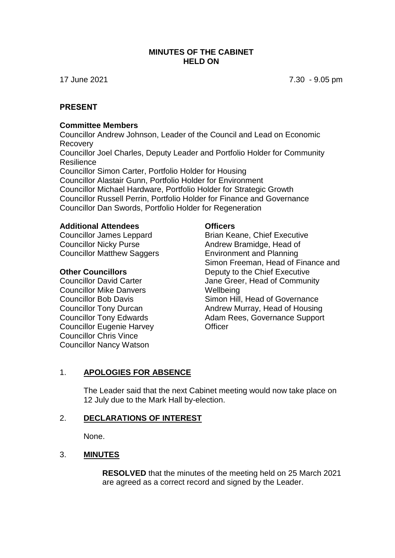### **MINUTES OF THE CABINET HELD ON**

17 June 2021 7.30 - 9.05 pm

### **PRESENT**

#### **Committee Members**

Councillor Andrew Johnson, Leader of the Council and Lead on Economic Recovery Councillor Joel Charles, Deputy Leader and Portfolio Holder for Community **Resilience** Councillor Simon Carter, Portfolio Holder for Housing Councillor Alastair Gunn, Portfolio Holder for Environment Councillor Michael Hardware, Portfolio Holder for Strategic Growth Councillor Russell Perrin, Portfolio Holder for Finance and Governance Councillor Dan Swords, Portfolio Holder for Regeneration

#### **Additional Attendees**

Councillor James Leppard Councillor Nicky Purse Councillor Matthew Saggers

### **Other Councillors**

Councillor David Carter Councillor Mike Danvers Councillor Bob Davis Councillor Tony Durcan Councillor Tony Edwards Councillor Eugenie Harvey Councillor Chris Vince Councillor Nancy Watson

### **Officers**

Brian Keane, Chief Executive Andrew Bramidge, Head of Environment and Planning Simon Freeman, Head of Finance and Deputy to the Chief Executive Jane Greer, Head of Community **Wellbeing** Simon Hill, Head of Governance Andrew Murray, Head of Housing Adam Rees, Governance Support **Officer** 

### 1. **APOLOGIES FOR ABSENCE**

The Leader said that the next Cabinet meeting would now take place on 12 July due to the Mark Hall by-election.

### 2. **DECLARATIONS OF INTEREST**

None.

### 3. **MINUTES**

**RESOLVED** that the minutes of the meeting held on 25 March 2021 are agreed as a correct record and signed by the Leader.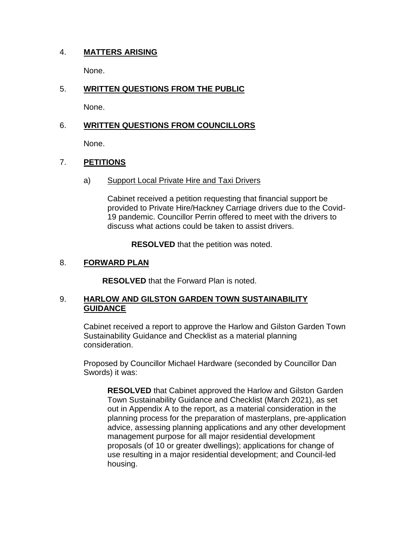## 4. **MATTERS ARISING**

None.

## 5. **WRITTEN QUESTIONS FROM THE PUBLIC**

None.

## 6. **WRITTEN QUESTIONS FROM COUNCILLORS**

None.

## 7. **PETITIONS**

a) Support Local Private Hire and Taxi Drivers

Cabinet received a petition requesting that financial support be provided to Private Hire/Hackney Carriage drivers due to the Covid-19 pandemic. Councillor Perrin offered to meet with the drivers to discuss what actions could be taken to assist drivers.

**RESOLVED** that the petition was noted.

## 8. **FORWARD PLAN**

**RESOLVED** that the Forward Plan is noted.

## 9. **HARLOW AND GILSTON GARDEN TOWN SUSTAINABILITY GUIDANCE**

Cabinet received a report to approve the Harlow and Gilston Garden Town Sustainability Guidance and Checklist as a material planning consideration.

Proposed by Councillor Michael Hardware (seconded by Councillor Dan Swords) it was:

**RESOLVED** that Cabinet approved the Harlow and Gilston Garden Town Sustainability Guidance and Checklist (March 2021), as set out in Appendix A to the report, as a material consideration in the planning process for the preparation of masterplans, pre-application advice, assessing planning applications and any other development management purpose for all major residential development proposals (of 10 or greater dwellings); applications for change of use resulting in a major residential development; and Council-led housing.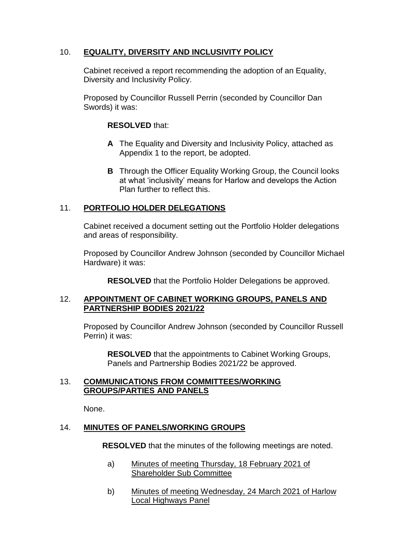## 10. **EQUALITY, DIVERSITY AND INCLUSIVITY POLICY**

Cabinet received a report recommending the adoption of an Equality, Diversity and Inclusivity Policy.

Proposed by Councillor Russell Perrin (seconded by Councillor Dan Swords) it was:

## **RESOLVED** that:

- **A** The Equality and Diversity and Inclusivity Policy, attached as Appendix 1 to the report, be adopted.
- **B** Through the Officer Equality Working Group, the Council looks at what 'inclusivity' means for Harlow and develops the Action Plan further to reflect this.

## 11. **PORTFOLIO HOLDER DELEGATIONS**

Cabinet received a document setting out the Portfolio Holder delegations and areas of responsibility.

Proposed by Councillor Andrew Johnson (seconded by Councillor Michael Hardware) it was:

**RESOLVED** that the Portfolio Holder Delegations be approved.

### 12. **APPOINTMENT OF CABINET WORKING GROUPS, PANELS AND PARTNERSHIP BODIES 2021/22**

Proposed by Councillor Andrew Johnson (seconded by Councillor Russell Perrin) it was:

**RESOLVED** that the appointments to Cabinet Working Groups, Panels and Partnership Bodies 2021/22 be approved.

### 13. **COMMUNICATIONS FROM COMMITTEES/WORKING GROUPS/PARTIES AND PANELS**

None.

### 14. **MINUTES OF PANELS/WORKING GROUPS**

**RESOLVED** that the minutes of the following meetings are noted.

- a) Minutes of meeting Thursday, 18 February 2021 of Shareholder Sub Committee
- b) Minutes of meeting Wednesday, 24 March 2021 of Harlow Local Highways Panel